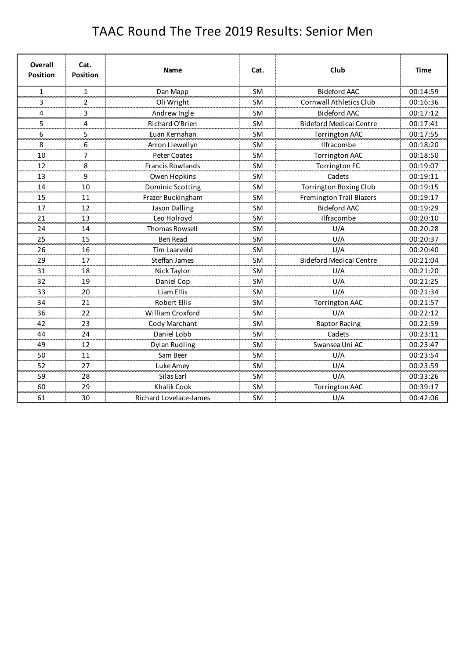## TAAC Round The Tree 2019 Results: Senior Men

| Overall<br><b>Position</b> | Cat.<br><b>Position</b> | <b>Name</b>             | Cat.                    | Club                           | Time         |
|----------------------------|-------------------------|-------------------------|-------------------------|--------------------------------|--------------|
| 1                          | 1                       | Dan Mapp                | <b>SM</b>               | <b>Bideford AAC</b>            | 00:14:59     |
| 3<br>---                   | $\overline{2}$<br>=-    | Oli Wright              | <b>SM</b>               | <b>Cornwall Athletics Club</b> | 00:16:36     |
| 4<br><b>Service</b>        | 3<br>an an              | Andrew Ingle            | <b>SM</b>               | <b>Bideford AAC</b>            | 00:17:12     |
| 5                          | 4                       | Richard O'Brien         | <b>SM</b>               | <b>Bideford Medical Centre</b> | 00:17:41     |
| 6                          | 5                       | Euan Kernahan           | <b>SM</b>               | <b>Torrington AAC</b>          | 00:17:55     |
| 8                          | 6                       | Arron Llewellyn         | <b>SM</b>               | Ilfracombe                     | 00:18:20     |
| 10<br>an an a              | $\overline{7}$<br>an a  | Peter Coates            | <b>SM</b>               | <b>Torrington AAC</b>          | 00:18:50     |
| 12                         | 8                       | <b>Francis Rowlands</b> | <b>SM</b>               | <b>Torrington FC</b>           | 00:19:07     |
| 13                         | 9                       | Owen Hopkins            | <b>SM</b>               | Cadets                         | 00:19:11     |
| 14<br>سيس                  | 10                      | Dominic Scotting        | SM                      | <b>Torrington Boxing Club</b>  | 00:19:15     |
| 15                         | 11                      | Frazer Buckingham       | <b>SM</b>               | Fremington Trail Blazers       | 00:19:17     |
| 17<br>an an an             | 12<br><b>CONTACT</b>    | Jason Dalling           | <b>SM</b>               | <b>Bideford AAC</b>            | 00:19:29     |
| 21                         | 13                      | Leo Holroyd             | <b>SM</b>               | Ilfracombe                     | 00:20:10     |
| 24                         | 14                      | Thomas Rowsell          | SM                      | U/A                            | 00:20:28     |
| 25                         | 15                      | <b>Ben Read</b>         | SM                      | U/A                            | 00:20:37     |
| 26                         | 16                      | <b>Tim Laarveld</b>     | <b>SM</b>               | U/A                            | 00:20:40     |
| 29<br>an an a              | 17<br>an an a           | <b>Steffan James</b>    | <b>SM</b>               | <b>Bideford Medical Centre</b> | 00:21:04     |
| 31                         | 18                      | Nick Taylor             | <b>SM</b>               | U/A                            | 00:21:20     |
| 32                         | 19                      | Daniel Cop              | <b>SM</b>               | U/A                            | 00:21:25     |
| 33                         | 20                      | Liam Ellis              | SM                      | U/A                            | 00:21:34     |
| 34                         | 21                      | Robert Ellis            | <b>SM</b>               | <b>Torrington AAC</b>          | 00:21:57     |
| 36                         | 22                      | William Croxford        | <b>SM</b>               | U/A                            | 00:22:12     |
| 42                         | 23                      | Cody Marchant           | <b>SM</b>               | <b>Raptor Racing</b>           | 00:22:59     |
| 44<br>                     | 24<br>مستعد             | Daniel Lobb             | <b>SM</b><br>a a san an | Cadets                         | 00:23:11<br> |
| 49<br>mana a               | 12<br>سيبي              | Dylan Rudling           | <b>SM</b>               | Swansea Uni AC                 | 00:23:47     |
| 50                         | 11                      | Sam Beer                | <b>SM</b>               | U/A                            | 00:23:54     |
| 52                         | 27                      | Luke Amey               | <b>SM</b>               | U/A                            | 00:23:59     |
| 59<br>an an a              | 28                      | Silas Earl              | <b>SM</b>               | U/A                            | 00:33:26     |
| 60                         | 29                      | <b>Khalik Cook</b>      | <b>SM</b>               | <b>Torrington AAC</b>          | 00:39:17     |
| 61                         | 30                      | Richard Lovelace-James  | <b>SM</b>               | U/A                            | 00:42:06     |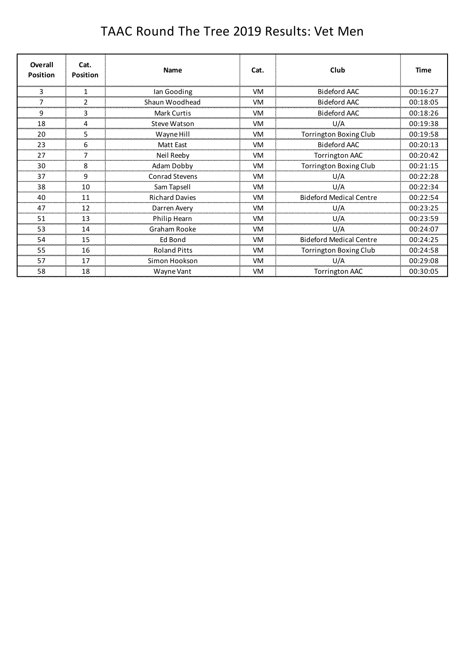## TAAC Round The Tree 2019 Results: Vet Men

| Overall<br><b>Position</b> | Cat.<br>Position | <b>Name</b>           | Cat.      | Club                           | <b>Time</b> |
|----------------------------|------------------|-----------------------|-----------|--------------------------------|-------------|
|                            |                  | Ian Gooding           | VM        | Bideford AAC                   | 00:16:27    |
|                            |                  | Shaun Woodhead        | <b>VM</b> | <b>Bideford AAC</b>            | 00:18:05    |
| 9                          | 3                | <b>Mark Curtis</b>    | <b>VM</b> | <b>Bideford AAC</b>            | 00:18:26    |
| 18                         |                  | Steve Watson          | <b>VM</b> | U/A                            | 00:19:38    |
| 20                         | 5                | Wayne Hill            | VM        | Torrington Boxing Club         | 00:19:58    |
| 23                         | 6                | Matt East             | <b>VM</b> | Bideford AAC                   | 00:20:13    |
| 27                         | 7                | Neil Reeby            | <b>VM</b> | <b>Torrington AAC</b>          | 00:20:42    |
| 30                         | 8                | <b>Adam Dobby</b>     | VM        | <b>Torrington Boxing Club</b>  | 00:21:15    |
| 37                         | 9                | <b>Conrad Stevens</b> | <b>VM</b> | U/A                            | 00:22:28    |
| 38                         | 10               | Sam Tapsell           | <b>VM</b> | U/A                            | 00:22:34    |
| 40                         | 11               | <b>Richard Davies</b> | <b>VM</b> | <b>Bideford Medical Centre</b> | 00:22:54    |
| 47                         | 12               | Darren Avery          | VM        | U/A                            | 00:23:25    |
| 51                         | 13               | Philip Hearn          | VM        | U/A                            | 00:23:59    |
| 53                         | 14               | Graham Rooke          | <b>VM</b> | U/A                            | 00:24:07    |
| 54                         | 15               | Ed Bond               | <b>VM</b> | <b>Bideford Medical Centre</b> | 00:24:25    |
| 55                         | 16               | <b>Roland Pitts</b>   | VM        | Torrington Boxing Club         | 00:24:58    |
| 57                         | 17               | Simon Hookson         | <b>VM</b> | U/A                            | 00:29:08    |
| 58                         | 18               | Wayne Vant            | <b>VM</b> | <b>Torrington AAC</b>          | 00:30:05    |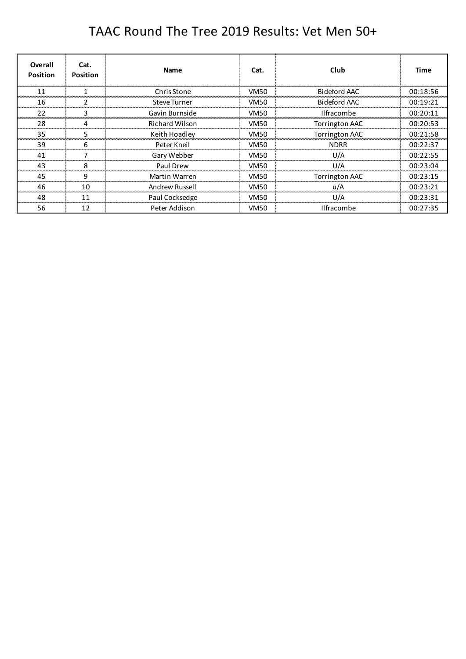## TAAC Round The Tree 2019 Results: Vet Men 50+

| <b>Overall</b><br><b>Position</b> | Cat.<br><b>Position</b> | <b>Name</b>           | Cat.        | Club                  | Time     |
|-----------------------------------|-------------------------|-----------------------|-------------|-----------------------|----------|
| 11                                |                         | Chris Stone           | VM50        | Bideford AAC          | 00:18:56 |
| 16                                |                         | <b>Steve Turner</b>   | <b>VM50</b> | Bideford AAC          | 00:19:21 |
| 22                                |                         | Gavin Burnside        | <b>VM50</b> | <b>Ilfracombe</b>     | 00:20:11 |
| 28                                |                         | <b>Richard Wilson</b> | <b>VM50</b> | <b>Torrington AAC</b> | 00:20:53 |
| 35                                |                         | Keith Hoadley         | VM50        | <b>Torrington AAC</b> | 00:21:58 |
| 39                                |                         | Peter Kneil           | <b>VM50</b> | <b>NDRR</b>           | 00:22:37 |
| 41                                |                         | Gary Webber           | VM50        | U/A                   | 00:22:55 |
| 43                                | 8                       | Paul Drew             | <b>VM50</b> | U/A                   | 00:23:04 |
| 45                                | g                       | Martin Warren         | VM50        | <b>Torrington AAC</b> | 00:23:15 |
| 46                                | 10                      | <b>Andrew Russell</b> | VM50        | u/A                   | 00:23:21 |
| 48                                | 11                      | Paul Cocksedge        | <b>VM50</b> | U/A                   | 00:23:31 |
| 56                                | 12                      | Peter Addison         | VM50        | <b>Ilfracombe</b>     | 00:27:35 |